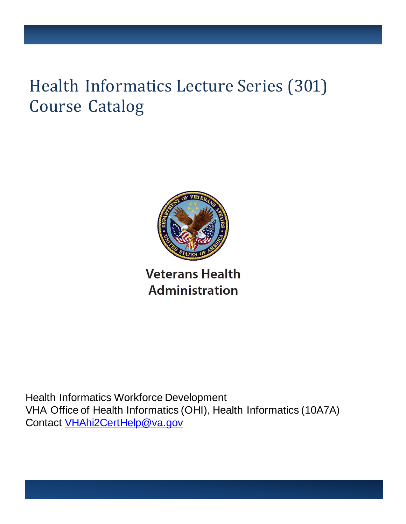# Health Informatics Lecture Series (301) Course Catalog



**Veterans Health Administration** 

Health Informatics Workforce Development VHA Office of Health Informatics (OHI), Health Informatics (10A7A) Contact [VHAhi2CertHelp@va.gov](mailto:VHAhi2CertHelp@va.gov)

T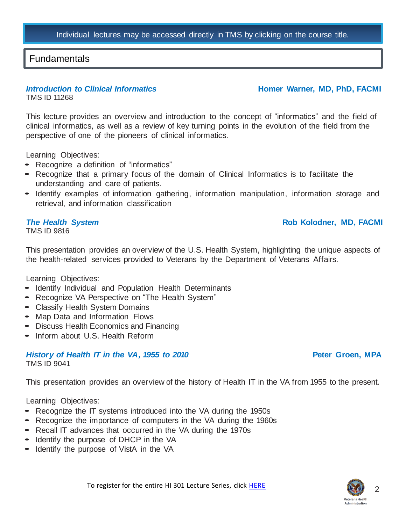To register for the entire HI 301 Lecture Series, click [HERE](https://hcm03.ns2cloud.com/sf/learning?destUrl=https%3a%2f%2fva%2dhcm03%2ens2cloud%2ecom%2flearning%2fuser%2fdeeplink%5fredirect%2ejsp%3flinkId%3dCURRICULA%26qualID%3dEES%2d019%26fromSF%3dY&company=VAHCM03)

Individual lectures may be accessed directly in TMS by clicking on the course title.

## Fundamentals

TMS ID 11268

#### *[Introduction to Clinical Informatics](https://hcm03.ns2cloud.com/sf/learning?destUrl=https%3a%2f%2fva%2dhcm03%2ens2cloud%2ecom%2flearning%2fuser%2fdeeplink%5fredirect%2ejsp%3flinkId%3dITEM%5fDETAILS%26componentID%3d11268%26componentTypeID%3dVA%26revisionDate%3d1321452360000%26fromSF%3dY&company=VAHCM03)* **Homer Warner, MD, PhD, FACMI**

This lecture provides an overview and introduction to the concept of "informatics" and the field of clinical informatics, as well as a review of key turning points in the evolution of the field from the perspective of one of the pioneers of clinical informatics.

Learning Objectives:

- Recognize <sup>a</sup> definition of "informatics"
- Recognize that <sup>a</sup> primary focus of the domain of Clinical Informatics is to facilitate the understanding and care of patients.
- Identify examples of information gathering, information manipulation, information storage and retrieval, and information classification

TMS ID 9816

This presentation provides an overview of the U.S. Health System, highlighting the unique aspects of the health-related services provided to Veterans by the Department of Veterans Affairs.

Learning Objectives:

- Identify Individual and Population Health Determinants
- Recognize VA Perspective on "The Health System"
- Classify Health System Domains
- Map Data and Information Flows
- Discuss Health Economics and Financing
- Inform about U.S. Health Reform

#### *[History](https://hcm03.ns2cloud.com/sf/learning?destUrl=https%3a%2f%2fva%2dhcm03%2ens2cloud%2ecom%2flearning%2fuser%2fdeeplink%5fredirect%2ejsp%3flinkId%3dITEM%5fDETAILS%26componentID%3d9041%26componentTypeID%3dVA%26revisionDate%3d1291820460000%26fromSF%3dY&company=VAHCM03) of Health IT in the VA, 1955 to 2010* **Peter Groen, MPA** TMS ID 9041

This presentation provides an overview of the history of Health IT in the VA from 1955 to the present.

Learning Objectives:

- Recognize the IT systems introduced into the VA during the 1950s
- Recognize the importance of computers in the VA during the 1960s
- Recall IT advances that occurred in the VA during the 1970s
- Identify the purpose of DHCP in the VA
- Identify the purpose of VistA in the VA



#### *The Health [System](https://hcm03.ns2cloud.com/sf/learning?destUrl=https%3a%2f%2fva%2dhcm03%2ens2cloud%2ecom%2flearning%2fuser%2fdeeplink%5fredirect%2ejsp%3flinkId%3dITEM%5fDETAILS%26componentID%3d9816%26componentTypeID%3dVA%26revisionDate%3d1311784140000%26fromSF%3dY&company=VAHCM03)* **Rob Kolodner, MD, FACMI**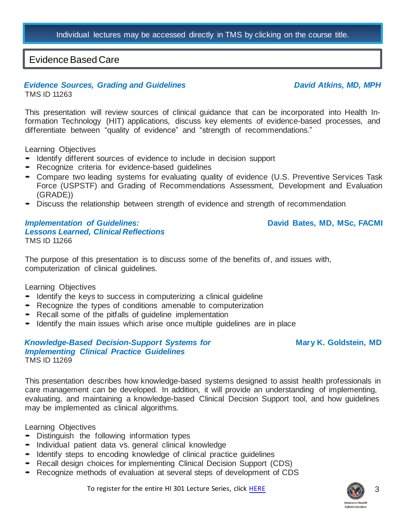#### Evidence Based Care

## *[Evidence Sources, Grading and Guidelines](https://hcm03.ns2cloud.com/sf/learning?destUrl=https%3a%2f%2fva%2dhcm03%2ens2cloud%2ecom%2flearning%2fuser%2fdeeplink%5fredirect%2ejsp%3flinkId%3dITEM%5fDETAILS%26componentID%3d11263%26componentTypeID%3dVA%26revisionDate%3d1321455660000%26fromSF%3dY&company=VAHCM03) David Atkins, MD, MPH*

TMS ID 11263

This presentation will review sources of clinical guidance that can be incorporated into Health Information Technology (HIT) applications, discuss key elements of evidence-based processes, and differentiate between "quality of evidence" and "strength of recommendations."

Learning Objectives

- Identify different sources of evidence to include in decision support
- Recognize criteria for evidence-based guidelines
- Compare two leading systems for evaluating quality of evidence (U.S. Preventive Services Task Force (USPSTF) and Grading of Recommendations Assessment, Development and Evaluation (GRADE))
- Discuss the relationship between strength of evidence and strength of recommendation

#### *[Implementation](https://hcm03.ns2cloud.com/sf/learning?destUrl=https%3a%2f%2fva%2dhcm03%2ens2cloud%2ecom%2flearning%2fuser%2fdeeplink%5fredirect%2ejsp%3flinkId%3dITEM%5fDETAILS%26componentID%3d11266%26componentTypeID%3dVA%26revisionDate%3d1321457460000%26fromSF%3dY&company=VAHCM03) of Guidelines:* **David Bates, MD, MSc, FACMI** *Lessons Learned, Clinical Reflections* TMS ID 11266

The purpose of this presentation is to discuss some of the benefits of, and issues with, computerization of clinical guidelines.

Learning Objectives

- Identify the keys to success in computerizing a clinical quideline
- Recognize the types of conditions amenable to computerization
- Recall some of the pitfalls of guideline implementation
- Identify the main issues which arise once multiple guidelines are in place

#### *[Knowledge-Based](https://hcm03.ns2cloud.com/sf/learning?destUrl=https%3a%2f%2fva%2dhcm03%2ens2cloud%2ecom%2flearning%2fuser%2fdeeplink%5fredirect%2ejsp%3flinkId%3dITEM%5fDETAILS%26componentID%3d11269%26componentTypeID%3dVA%26revisionDate%3d1319736420000%26fromSF%3dY&company=VAHCM03) Decision-Support Systems for* **Mary K. Goldstein, MD** *Implementing Clinical Practice Guidelines* TMS ID 11269

This presentation describes how knowledge-based systems designed to assist health professionals in care management can be developed. In addition, it will provide an understanding of implementing, evaluating, and maintaining a knowledge-based Clinical Decision Support tool, and how guidelines may be implemented as clinical algorithms.

- Distinguish the following information types
- Individual patient data vs. general clinical knowledge
- Identify steps to encoding knowledge of clinical practice guidelines
- Recall design choices for implementing Clinical Decision Support (CDS)
- Recognize methods of evaluation at several steps of development of CDS

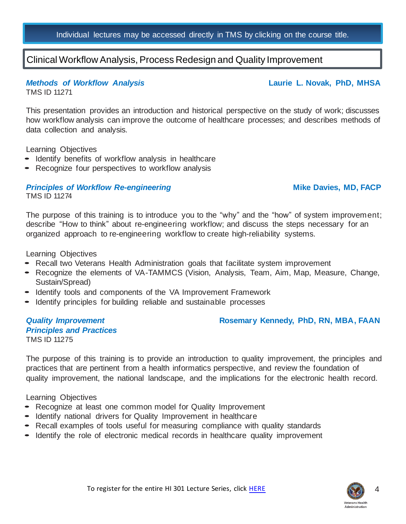### Clinical Workflow Analysis, Process Redesign and Quality Improvement

# *Methods of [Workflow](https://hcm03.ns2cloud.com/sf/learning?destUrl=https%3a%2f%2fva%2dhcm03%2ens2cloud%2ecom%2flearning%2fuser%2fdeeplink%5fredirect%2ejsp%3flinkId%3dITEM%5fDETAILS%26componentID%3d11271%26componentTypeID%3dVA%26revisionDate%3d1321457820000%26fromSF%3dY&company=VAHCM03) Analysis* **Laurie L. Novak, PhD, MHSA**

TMS ID 11271

This presentation provides an introduction and historical perspective on the study of work; discusses how workflow analysis can improve the outcome of healthcare processes; and describes methods of data collection and analysis.

Learning Objectives

- Identify benefits of workflow analysis in healthcare
- Recognize four perspectives to workflow analysis

# *Principles of Workflow [Re-engineering](https://hcm03.ns2cloud.com/sf/learning?destUrl=https%3a%2f%2fva%2dhcm03%2ens2cloud%2ecom%2flearning%2fuser%2fdeeplink%5fredirect%2ejsp%3flinkId%3dITEM%5fDETAILS%26componentID%3d11274%26componentTypeID%3dVA%26revisionDate%3d1321458180000%26fromSF%3dY&company=VAHCM03)* **Mike Davies, MD, FACP**

TMS ID 11274

The purpose of this training is to introduce you to the "why" and the "how" of system improvement; describe "How to think" about re-engineering workflow; and discuss the steps necessary for an organized approach to re-engineering workflow to create high-reliability systems.

Learning Objectives

- Recall two Veterans Health Administration goals that facilitate system improvement
- Recognize the elements of VA-TAMMCS (Vision, Analysis, Team, Aim, Map, Measure, Change, Sustain/Spread)
- Identify tools and components of the VA Improvement Framework
- Identify principles for building reliable and sustainable processes

## *Principles and Practices* TMS ID 11275

*Quality [Improvement](https://hcm03.ns2cloud.com/sf/learning?destUrl=https%3a%2f%2fva%2dhcm03%2ens2cloud%2ecom%2flearning%2fuser%2fdeeplink%5fredirect%2ejsp%3flinkId%3dITEM%5fDETAILS%26componentID%3d11275%26componentTypeID%3dVA%26revisionDate%3d1321462440000%26fromSF%3dY&company=VAHCM03)* **Rosemary Kennedy, PhD, RN, MBA, FAAN**

The purpose of this training is to provide an introduction to quality improvement, the principles and practices that are pertinent from a health informatics perspective, and review the foundation of quality improvement, the national landscape, and the implications for the electronic health record.

- Recognize at least one common model for Quality Improvement
- Identify national drivers for Quality Improvement in healthcare
- Recall examples of tools useful for measuring compliance with quality standards
- Identify the role of electronic medical records in healthcare quality improvement

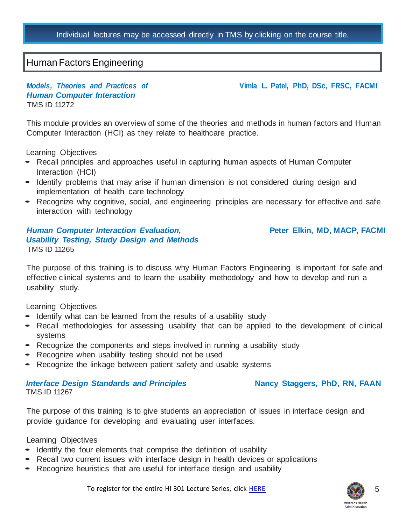## Human Factors Engineering

*Human Computer Interaction* TMS ID 11272

*[Models, Theories and Practices of](https://hcm03.ns2cloud.com/sf/learning?destUrl=https%3a%2f%2fva%2dhcm03%2ens2cloud%2ecom%2flearning%2fuser%2fdeeplink%5fredirect%2ejsp%3flinkId%3dITEM%5fDETAILS%26componentID%3d11272%26componentTypeID%3dVA%26revisionDate%3d1321462620000%26fromSF%3dY&company=VAHCM03)* **Vimla L. Patel, PhD, DSc, FRSC, FACMI**

This module provides an overview of some of the theories and methods in human factors and Human Computer Interaction (HCI) as they relate to healthcare practice.

Learning Objectives

- Recall principles and approaches useful in capturing human aspects of Human Computer Interaction (HCI)
- Identify problems that may arise if human dimension is not considered during design and implementation of health care technology
- Recognize why cognitive, social, and engineering principles are necessary for effective and safe interaction with technology

#### *Human Computer Interaction [Evaluation,](https://hcm03.ns2cloud.com/sf/learning?destUrl=https%3a%2f%2fva%2dhcm03%2ens2cloud%2ecom%2flearning%2fuser%2fdeeplink%5fredirect%2ejsp%3flinkId%3dITEM%5fDETAILS%26componentID%3d11265%26componentTypeID%3dVA%26revisionDate%3d1321466460000%26fromSF%3dY&company=VAHCM03)* **Peter Elkin, MD, MACP, FACMI** *Usability Testing, Study Design and Methods* TMS ID 11265

The purpose of this training is to discuss why Human Factors Engineering is important for safe and effective clinical systems and to learn the usability methodology and how to develop and run a usability study.

Learning Objectives

- Identify what can be learned from the results of <sup>a</sup> usability study
- Recall methodologies for assessing usability that can be applied to the development of clinical systems
- Recognize the components and steps involved in running a usability study
- Recognize when usability testing should not be used
- Recognize the linkage between patient safety and usable systems

#### *Interface Design [Standards](https://hcm03.ns2cloud.com/sf/learning?destUrl=https%3a%2f%2fva%2dhcm03%2ens2cloud%2ecom%2flearning%2fuser%2fdeeplink%5fredirect%2ejsp%3flinkId%3dITEM%5fDETAILS%26componentID%3d11267%26componentTypeID%3dVA%26revisionDate%3d1321468260000%26fromSF%3dY&company=VAHCM03) and Principles* **Nancy Staggers, PhD, RN, FAAN** TMS ID 11267

The purpose of this training is to give students an appreciation of issues in interface design and provide guidance for developing and evaluating user interfaces.

Learning Objectives

- Identify the four elements that comprise the definition of usability
- Recall two current issues with interface design in health devices or applications
- Recognize heuristics that are useful for interface design and usability

To register for the entire HI 301 Lecture Series, click [HERE](https://hcm03.ns2cloud.com/sf/learning?destUrl=https%3a%2f%2fva%2dhcm03%2ens2cloud%2ecom%2flearning%2fuser%2fdeeplink%5fredirect%2ejsp%3flinkId%3dCURRICULA%26qualID%3dEES%2d019%26fromSF%3dY&company=VAHCM03) 5

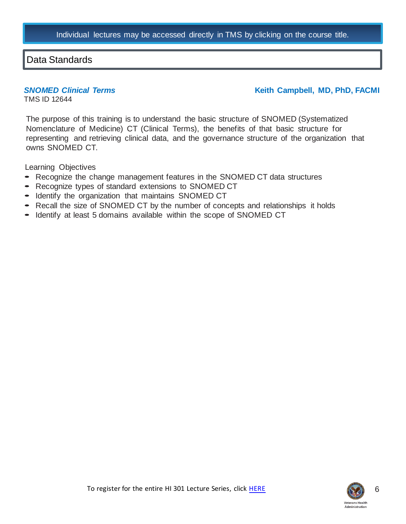#### Data Standards

#### *[SNOMED](https://hcm03.ns2cloud.com/sf/learning?destUrl=https%3a%2f%2fva%2dhcm03%2ens2cloud%2ecom%2flearning%2fuser%2fdeeplink%5fredirect%2ejsp%3flinkId%3dITEM%5fDETAILS%26componentID%3d12644%26componentTypeID%3dVA%26revisionDate%3d1327515420000%26fromSF%3dY&company=VAHCM03) Clinical Terms* **Keith Campbell, MD, PhD, FACMI**

TMS ID 12644

The purpose of this training is to understand the basic structure of SNOMED (Systematized Nomenclature of Medicine) CT (Clinical Terms), the benefits of that basic structure for representing and retrieving clinical data, and the governance structure of the organization that owns SNOMED CT.

- Recognize the change management features in the SNOMED CT data structures
- Recognize types of standard extensions to SNOMED CT
- Identify the organization that maintains SNOMED CT
- Recall the size of SNOMED CT by the number of concepts and relationships it holds
- Identify at least <sup>5</sup> domains available within the scope of SNOMED CT

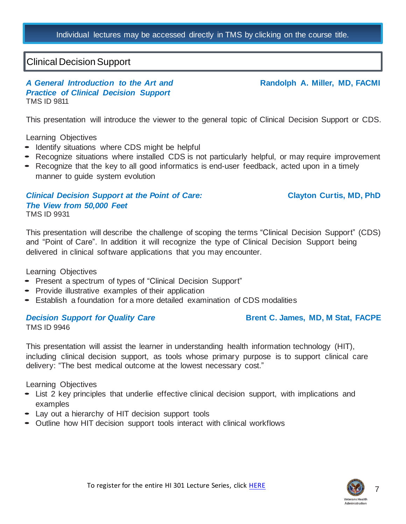## Clinical Decision Support

#### *A General [Introduction](https://hcm03.ns2cloud.com/sf/learning?destUrl=https%3a%2f%2fva%2dhcm03%2ens2cloud%2ecom%2flearning%2fuser%2fdeeplink%5fredirect%2ejsp%3flinkId%3dITEM%5fDETAILS%26componentID%3d9811%26componentTypeID%3dVA%26revisionDate%3d1311784560000%26fromSF%3dY&company=VAHCM03) to the Art and* **Randolph A. Miller, MD, FACMI** *Practice of Clinical Decision Support* TMS ID 9811

This presentation will introduce the viewer to the general topic of Clinical Decision Support or CDS.

Learning Objectives

- Identify situations where CDS might be helpful
- Recognize situations where installed CDS is not particularly helpful, or may require improvement
- Recognize that the key to all good informatics is end-user feedback, acted upon in <sup>a</sup> timely manner to guide system evolution

#### *Clinical [Decision](https://hcm03.ns2cloud.com/sf/learning?destUrl=https%3a%2f%2fva%2dhcm03%2ens2cloud%2ecom%2flearning%2fuser%2fdeeplink%5fredirect%2ejsp%3flinkId%3dITEM%5fDETAILS%26componentID%3d9931%26componentTypeID%3dVA%26revisionDate%3d1314190680000%26fromSF%3dY&company=VAHCM03) Support at the Point of Care:* **Clayton Curtis, MD, PhD** *The View from 50,000 Feet* TMS ID 9931

This presentation will describe the challenge of scoping the terms "Clinical Decision Support" (CDS) and "Point of Care". In addition it will recognize the type of Clinical Decision Support being delivered in clinical software applications that you may encounter.

Learning Objectives

- Present <sup>a</sup> spectrum of types of "Clinical Decision Support"
- Provide illustrative examples of their application
- Establish <sup>a</sup> foundation for <sup>a</sup> more detailed examination of CDS modalities

*[Decision](https://hcm03.ns2cloud.com/sf/learning?destUrl=https%3a%2f%2fva%2dhcm03%2ens2cloud%2ecom%2flearning%2fuser%2fdeeplink%5fredirect%2ejsp%3flinkId%3dITEM%5fDETAILS%26componentID%3d9946%26componentTypeID%3dVA%26revisionDate%3d1314785760000%26fromSF%3dY&company=VAHCM03) Support for Quality Care* **Brent C. James, MD, M Stat, FACPE**

TMS ID 9946

This presentation will assist the learner in understanding health information technology (HIT), including clinical decision support, as tools whose primary purpose is to support clinical care delivery: "The best medical outcome at the lowest necessary cost."

Learning Objectives

- List <sup>2</sup> key principles that underlie effective clinical decision support, with implications and examples
- Lay out <sup>a</sup> hierarchy of HIT decision support tools
- Outline how HIT decision support tools interact with clinical workflows



7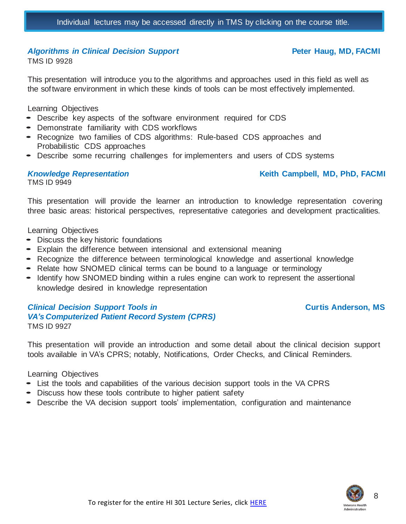#### *[Algorithms](https://hcm03.ns2cloud.com/sf/learning?destUrl=https%3a%2f%2fva%2dhcm03%2ens2cloud%2ecom%2flearning%2fuser%2fdeeplink%5fredirect%2ejsp%3flinkId%3dITEM%5fDETAILS%26componentID%3d9928%26componentTypeID%3dVA%26revisionDate%3d1314191580000%26fromSF%3dY&company=VAHCM03) in Clinical Decision Support* **Peter Haug, MD, FACMI** TMS ID 9928

This presentation will introduce you to the algorithms and approaches used in this field as well as the software environment in which these kinds of tools can be most effectively implemented.

Learning Objectives

- Describe key aspects of the software environment required for CDS
- Demonstrate familiarity with CDS workflows
- Recognize two families of CDS algorithms: Rule-based CDS approaches and Probabilistic CDS approaches
- Describe some recurring challenges for implementers and users of CDS systems

#### **Knowledge [Representation](https://hcm03.ns2cloud.com/sf/learning?destUrl=https%3a%2f%2fva%2dhcm03%2ens2cloud%2ecom%2flearning%2fuser%2fdeeplink%5fredirect%2ejsp%3flinkId%3dITEM%5fDETAILS%26componentID%3d9949%26componentTypeID%3dVA%26revisionDate%3d1314785460000%26fromSF%3dY&company=VAHCM03) Keith Campbell, MD, PhD, FACMI**

TMS ID 9949

This presentation will provide the learner an introduction to knowledge representation covering three basic areas: historical perspectives, representative categories and development practicalities.

Learning Objectives

- Discuss the key historic foundations
- Explain the difference between intensional and extensional meaning
- Recognize the difference between terminological knowledge and assertional knowledge
- Relate how SNOMED clinical terms can be bound to <sup>a</sup> language or terminology
- Identify how SNOMED binding within <sup>a</sup> rules engine can work to represent the assertional knowledge desired in knowledge representation

#### *Clinical [Decision](https://hcm03.ns2cloud.com/sf/learning?destUrl=https%3a%2f%2fva%2dhcm03%2ens2cloud%2ecom%2flearning%2fuser%2fdeeplink%5fredirect%2ejsp%3flinkId%3dITEM%5fDETAILS%26componentID%3d9927%26componentTypeID%3dVA%26revisionDate%3d1314190980000%26fromSF%3dY&company=VAHCM03) Support Tools in* **Curtis Anderson, MS** *VA's Computerized Patient Record System (CPRS)* TMS ID 9927

This presentation will provide an introduction and some detail about the clinical decision support tools available in VA's CPRS; notably, Notifications, Order Checks, and Clinical Reminders.

- List the tools and capabilities of the various decision support tools in the VA CPRS
- Discuss how these tools contribute to higher patient safety
- Describe the VA decision support tools' implementation, configuration and maintenance

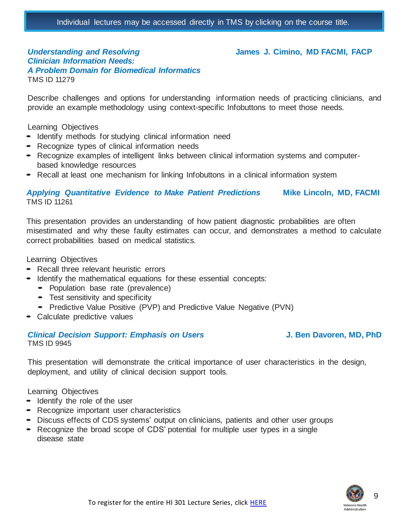#### *[Understanding and Resolving](https://hcm03.ns2cloud.com/sf/learning?destUrl=https%3a%2f%2fva%2dhcm03%2ens2cloud%2ecom%2flearning%2fuser%2fdeeplink%5fredirect%2ejsp%3flinkId%3dITEM%5fDETAILS%26componentID%3d11279%26componentTypeID%3dVA%26revisionDate%3d1321453980000%26fromSF%3dY&company=VAHCM03)* **James J. Cimino, MD FACMI, FACP** *Clinician Information Needs: A Problem Domain for Biomedical Informatics*  TMS ID 11279

Describe challenges and options for understanding information needs of practicing clinicians, and provide an example methodology using context-specific Infobuttons to meet those needs.

Learning Objectives

- Identify methods for studying clinical information need
- Recognize types of clinical information needs
- Recognize examples of intelligent links between clinical information systems and computerbased knowledge resources
- Recall at least one mechanism for linking Infobuttons in a clinical information system

#### *[Applying Quantitative Evidence to Make Patient Predictions](https://hcm03.ns2cloud.com/sf/learning?destUrl=https%3a%2f%2fva%2dhcm03%2ens2cloud%2ecom%2flearning%2fuser%2fdeeplink%5fredirect%2ejsp%3flinkId%3dITEM%5fDETAILS%26componentID%3d11261%26componentTypeID%3dVA%26revisionDate%3d1321452960000%26fromSF%3dY&company=VAHCM03)* **Mike Lincoln, MD, FACMI** TMS ID 11261

This presentation provides an understanding of how patient diagnostic probabilities are often misestimated and why these faulty estimates can occur, and demonstrates a method to calculate correct probabilities based on medical statistics.

Learning Objectives

- Recall three relevant heuristic errors
- Identify the mathematical equations for these essential concepts:
	- Population base rate (prevalence)
	- Test sensitivity and specificity
	- Predictive Value Positive (PVP) and Predictive Value Negative (PVN)
- Calculate predictive values

#### *Clinical Decision Support: [Emphasis](https://hcm03.ns2cloud.com/sf/learning?destUrl=https%3a%2f%2fva%2dhcm03%2ens2cloud%2ecom%2flearning%2fuser%2fdeeplink%5fredirect%2ejsp%3flinkId%3dITEM%5fDETAILS%26componentID%3d9945%26componentTypeID%3dVA%26revisionDate%3d1314785160000%26fromSF%3dY&company=VAHCM03) on Users* **J. Ben Davoren, MD, PhD** TMS ID 9945

This presentation will demonstrate the critical importance of user characteristics in the design, deployment, and utility of clinical decision support tools.

- Identify the role of the user
- Recognize important user characteristics
- Discuss effects of CDS systems' output on clinicians, patients and other user groups
- Recognize the broad scope of CDS' potential for multiple user types in <sup>a</sup> single disease state

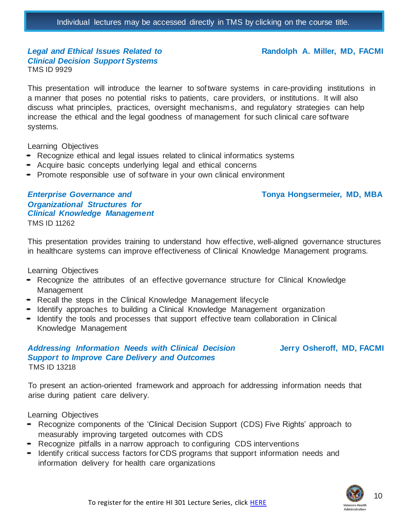#### *Legal and Ethical Issues [Related](https://hcm03.ns2cloud.com/sf/learning?destUrl=https%3a%2f%2fva%2dhcm03%2ens2cloud%2ecom%2flearning%2fuser%2fdeeplink%5fredirect%2ejsp%3flinkId%3dITEM%5fDETAILS%26componentID%3d9929%26componentTypeID%3dVA%26revisionDate%3d1314191280000%26fromSF%3dY&company=VAHCM03) to* **Randolph A. Miller, MD, FACMI** *Clinical Decision Support Systems* TMS ID 9929

This presentation will introduce the learner to software systems in care-providing institutions in a manner that poses no potential risks to patients, care providers, or institutions. It will also discuss what principles, practices, oversight mechanisms, and regulatory strategies can help increase the ethical and the legal goodness of management for such clinical care software systems.

Learning Objectives

- Recognize ethical and legal issues related to clinical informatics systems
- Acquire basic concepts underlying legal and ethical concerns
- Promote responsible use of software in your own clinical environment

#### *Enterprise [Governance](https://hcm03.ns2cloud.com/sf/learning?destUrl=https%3a%2f%2fva%2dhcm03%2ens2cloud%2ecom%2flearning%2fuser%2fdeeplink%5fredirect%2ejsp%3flinkId%3dITEM%5fDETAILS%26componentID%3d11262%26componentTypeID%3dVA%26revisionDate%3d1321454280000%26fromSF%3dY&company=VAHCM03) and* **Tonya Hongsermeier, MD, MBA**

*Organizational Structures for Clinical Knowledge Management* TMS ID 11262

This presentation provides training to understand how effective, well-aligned governance structures in healthcare systems can improve effectiveness of Clinical Knowledge Management programs.

Learning Objectives

- Recognize the attributes of an effective governance structure for Clinical Knowledge Management
- Recall the steps in the Clinical Knowledge Management lifecycle
- Identify approaches to building <sup>a</sup> Clinical Knowledge Management organization
- Identify the tools and processes that support effective team collaboration in Clinical Knowledge Management

#### *Addressing [Information](https://hcm03.ns2cloud.com/sf/learning?destUrl=https%3a%2f%2fva%2dhcm03%2ens2cloud%2ecom%2flearning%2fuser%2fdeeplink%5fredirect%2ejsp%3flinkId%3dITEM%5fDETAILS%26componentID%3d13218%26componentTypeID%3dVA%26revisionDate%3d1331044260000%26fromSF%3dY&company=VAHCM03) Needs with Clinical Decision* **Jerry Osheroff, MD, FACMI** *Support to Improve Care Delivery and Outcomes* TMS ID 13218

To present an action-oriented framework and approach for addressing information needs that arise during patient care delivery.

- Recognize components of the 'Clinical Decision Support (CDS) Five Rights' approach to measurably improving targeted outcomes with CDS
- Recognize pitfalls in <sup>a</sup> narrow approach to configuring CDS interventions
- Identify critical success factors forCDS programs that support information needs and information delivery for health care organizations

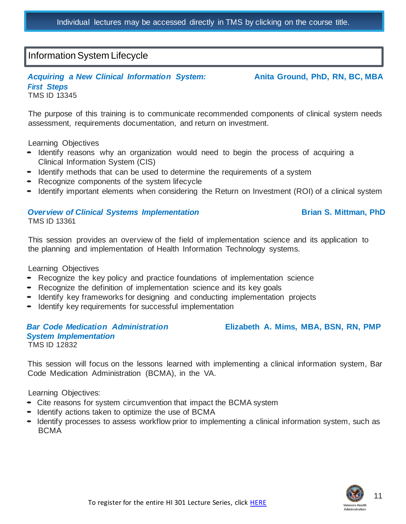#### Information System Lifecycle

*Acquiring a New [Clinical Information System:](https://hcm03.ns2cloud.com/sf/learning?destUrl=https%3a%2f%2fva%2dhcm03%2ens2cloud%2ecom%2flearning%2fuser%2fdeeplink%5fredirect%2ejsp%3flinkId%3dITEM%5fDETAILS%26componentID%3d13345%26componentTypeID%3dVA%26revisionDate%3d1331838420000%26fromSF%3dY&company=VAHCM03)* **Anita Ground, PhD, RN, BC, MBA** *First Steps* TMS ID 13345

The purpose of this training is to communicate recommended components of clinical system needs assessment, requirements documentation, and return on investment.

Learning Objectives

- Identify reasons why an organization would need to begin the process of acquiring <sup>a</sup> Clinical Information System (CIS)
- Identify methods that can be used to determine the requirements of a system
- Recognize components of the system lifecycle
- Identify important elements when considering the Return on Investment (ROI) of <sup>a</sup> clinical system

### *Overview of Clinical Systems [Implementation](https://hcm03.ns2cloud.com/sf/learning?destUrl=https%3a%2f%2fva%2dhcm03%2ens2cloud%2ecom%2flearning%2fuser%2fdeeplink%5fredirect%2ejsp%3flinkId%3dITEM%5fDETAILS%26componentID%3d13361%26componentTypeID%3dVA%26revisionDate%3d1331838900000%26fromSF%3dY&company=VAHCM03)* **Brian S. Mittman, PhD**

TMS ID 13361

This session provides an overview of the field of implementation science and its application to the planning and implementation of Health Information Technology systems.

Learning Objectives

- Recognize the key policy and practice foundations of implementation science
- Recognize the definition of implementation science and its key goals
- Identify key frameworks for designing and conducting implementation projects
- Identify key requirements for successful implementation

# *System Implementation*

*Bar Code Medication [Administration](https://hcm03.ns2cloud.com/sf/learning?destUrl=https%3a%2f%2fva%2dhcm03%2ens2cloud%2ecom%2flearning%2fuser%2fdeeplink%5fredirect%2ejsp%3flinkId%3dITEM%5fDETAILS%26componentID%3d12832%26componentTypeID%3dVA%26revisionDate%3d1329487680000%26fromSF%3dY&company=VAHCM03)* **Elizabeth A. Mims, MBA, BSN, RN, PMP**

TMS ID 12832

This session will focus on the lessons learned with implementing a clinical information system, Bar Code Medication Administration (BCMA), in the VA.

- Cite reasons for system circumvention that impact the BCMA system
- Identify actions taken to optimize the use of BCMA
- Identify processes to assess workflow prior to implementing a clinical information system, such as **BCMA**

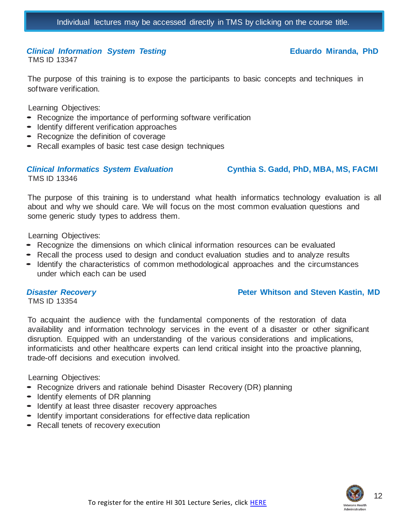#### **[Clinical Information System Testing](https://hcm03.ns2cloud.com/sf/learning?destUrl=https%3a%2f%2fva%2dhcm03%2ens2cloud%2ecom%2flearning%2fuser%2fdeeplink%5fredirect%2ejsp%3flinkId%3dITEM%5fDETAILS%26componentID%3d13347%26componentTypeID%3dVA%26revisionDate%3d1331838720000%26fromSF%3dY&company=VAHCM03) <b>Access Eduardo Miranda, PhD** TMS ID 13347

The purpose of this training is to expose the participants to basic concepts and techniques in software verification.

Learning Objectives:

- Recognize the importance of performing software verification
- Identify different verification approaches
- Recognize the definition of coverage
- Recall examples of basic test case design techniques

*Clinical [Informatics](https://hcm03.ns2cloud.com/sf/learning?destUrl=https%3a%2f%2fva%2dhcm03%2ens2cloud%2ecom%2flearning%2fuser%2fdeeplink%5fredirect%2ejsp%3flinkId%3dITEM%5fDETAILS%26componentID%3d13346%26componentTypeID%3dVA%26revisionDate%3d1331824980000%26fromSF%3dY&company=VAHCM03) System Evaluation* **Cynthia S. Gadd, PhD, MBA, MS, FACMI**

TMS ID 13346

The purpose of this training is to understand what health informatics technology evaluation is all about and why we should care. We will focus on the most common evaluation questions and some generic study types to address them.

Learning Objectives:

- Recognize the dimensions on which clinical information resources can be evaluated
- Recall the process used to design and conduct evaluation studies and to analyze results
- Identify the characteristics of common methodological approaches and the circumstances under which each can be used

#### *Disaster [Recovery](https://hcm03.ns2cloud.com/sf/learning?destUrl=https%3a%2f%2fva%2dhcm03%2ens2cloud%2ecom%2flearning%2fuser%2fdeeplink%5fredirect%2ejsp%3flinkId%3dITEM%5fDETAILS%26componentID%3d13354%26componentTypeID%3dVA%26revisionDate%3d1331839080000%26fromSF%3dY&company=VAHCM03)* **Peter Whitson and Steven Kastin, MD**

TMS ID 13354

To acquaint the audience with the fundamental components of the restoration of data availability and information technology services in the event of a disaster or other significant disruption. Equipped with an understanding of the various considerations and implications, informaticists and other healthcare experts can lend critical insight into the proactive planning, trade-off decisions and execution involved.

- Recognize drivers and rationale behind Disaster Recovery (DR) planning
- Identify elements of DR planning
- Identify at least three disaster recovery approaches
- Identify important considerations for effective data replication
- Recall tenets of recovery execution

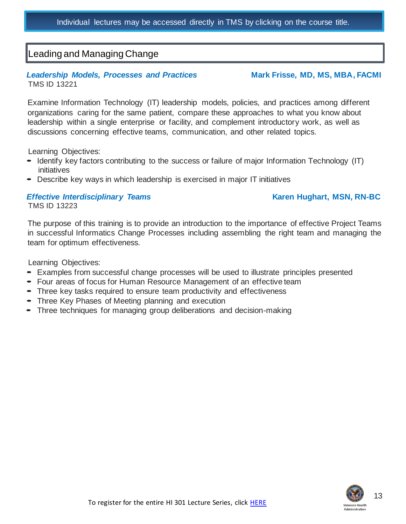## Leading and Managing Change

#### *[Leadership](https://hcm03.ns2cloud.com/sf/learning?destUrl=https%3a%2f%2fva%2dhcm03%2ens2cloud%2ecom%2flearning%2fuser%2fdeeplink%5fredirect%2ejsp%3flinkId%3dITEM%5fDETAILS%26componentID%3d13221%26componentTypeID%3dVA%26revisionDate%3d1331045100000%26fromSF%3dY&company=VAHCM03) Models, Processes and Practices* **Mark Frisse, MD, MS, MBA, FACMI** TMS ID 13221

Examine Information Technology (IT) leadership models, policies, and practices among different organizations caring for the same patient, compare these approaches to what you know about leadership within a single enterprise or facility, and complement introductory work, as well as discussions concerning effective teams, communication, and other related topics.

Learning Objectives:

- Identify key factors contributing to the success or failure of major Information Technology (IT) initiatives
- Describe key ways in which leadership is exercised in major IT initiatives

#### *Effective [Interdisciplinary](https://hcm03.ns2cloud.com/sf/learning?destUrl=https%3a%2f%2fva%2dhcm03%2ens2cloud%2ecom%2flearning%2fuser%2fdeeplink%5fredirect%2ejsp%3flinkId%3dITEM%5fDETAILS%26componentID%3d13223%26componentTypeID%3dVA%26revisionDate%3d1331045220000%26fromSF%3dY&company=VAHCM03) Teams* **Karen Hughart, MSN, RN-BC**

TMS ID 13223

The purpose of this training is to provide an introduction to the importance of effective Project Teams in successful Informatics Change Processes including assembling the right team and managing the team for optimum effectiveness.

- Examples from successful change processes will be used to illustrate principles presented
- Four areas of focus for Human Resource Management of an effective team
- Three key tasks required to ensure team productivity and effectiveness
- Three Key Phases of Meeting planning and execution
- Three techniques for managing group deliberations and decision-making

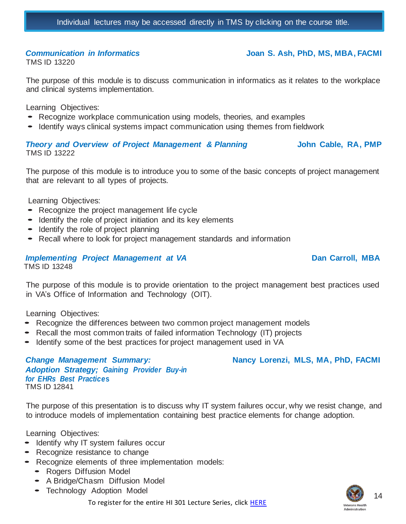# TMS ID 13220

The purpose of this module is to discuss communication in informatics as it relates to the workplace and clinical systems implementation.

Learning Objectives:

- Recognize workplace communication using models, theories, and examples
- Identify ways clinical systems impact communication using themes from fieldwork

*Theory and Overview of Project [Management](https://hcm03.ns2cloud.com/sf/learning?destUrl=https%3a%2f%2fva%2dhcm03%2ens2cloud%2ecom%2flearning%2fuser%2fdeeplink%5fredirect%2ejsp%3flinkId%3dITEM%5fDETAILS%26componentID%3d13222%26componentTypeID%3dVA%26revisionDate%3d1331044920000%26fromSF%3dY&company=VAHCM03) & Planning* **John Cable, RA, PMP** TMS ID 13222

The purpose of this module is to introduce you to some of the basic concepts of project management that are relevant to all types of projects.

Learning Objectives:

- Recognize the project management life cycle
- Identify the role of project initiation and its key elements
- Identify the role of project planning
- Recall where to look for project management standards and information

#### *[Implementing](https://hcm03.ns2cloud.com/sf/learning?destUrl=https%3a%2f%2fva%2dhcm03%2ens2cloud%2ecom%2flearning%2fuser%2fdeeplink%5fredirect%2ejsp%3flinkId%3dITEM%5fDETAILS%26componentID%3d13248%26componentTypeID%3dVA%26revisionDate%3d1331155920000%26fromSF%3dY&company=VAHCM03) Project Management at VA* **Dan Carroll, MBA** TMS ID 13248

The purpose of this module is to provide orientation to the project management best practices used in VA's Office of Information and Technology (OIT).

Learning Objectives:

- Recognize the differences between two common project management models
- Recall the most common traits of failed information Technology (IT) projects
- Identify some of the best practices for project management used in VA

*Change [Management](https://hcm03.ns2cloud.com/sf/learning?destUrl=https%3a%2f%2fva%2dhcm03%2ens2cloud%2ecom%2flearning%2fuser%2fdeeplink%5fredirect%2ejsp%3flinkId%3dITEM%5fDETAILS%26componentID%3d12841%26componentTypeID%3dVA%26revisionDate%3d1329838680000%26fromSF%3dY&company=VAHCM03) Summary:* **Nancy Lorenzi, MLS, MA, PhD, FACMI**

*[Adoption Strategy;](https://www.tms.va.gov/plateau/user/deeplink_redirect.jsp?linkId=ITEM_DETAILS&componentID=12841&componentTypeID=VA&revisionDate=1329838680000) Gaining Provider Buy-in for EHRs Best Practice***s** TMS ID 12841

The purpose of this presentation is to discuss why IT system failures occur, why we resist change, and to introduce models of implementation containing best practice elements for change adoption.

Learning Objectives:

- Identify why IT system failures occur
- Recognize resistance to change
- Recognize elements of three implementation models:
	- Rogers Diffusion Model
	- <sup>A</sup> Bridge/Chasm Diffusion Model
	- Technology Adoption Model

To register for the entire HI 301 Lecture Series, click [HERE](https://hcm03.ns2cloud.com/sf/learning?destUrl=https%3a%2f%2fva%2dhcm03%2ens2cloud%2ecom%2flearning%2fuser%2fdeeplink%5fredirect%2ejsp%3flinkId%3dCURRICULA%26qualID%3dEES%2d019%26fromSF%3dY&company=VAHCM03)



## *[Communication](https://hcm03.ns2cloud.com/sf/learning?destUrl=https%3a%2f%2fva%2dhcm03%2ens2cloud%2ecom%2flearning%2fuser%2fdeeplink%5fredirect%2ejsp%3flinkId%3dITEM%5fDETAILS%26componentID%3d13220%26componentTypeID%3dVA%26revisionDate%3d1331044440000%26fromSF%3dY&company=VAHCM03) in Informatics* **Joan S. Ash, PhD, MS, MBA, FACMI**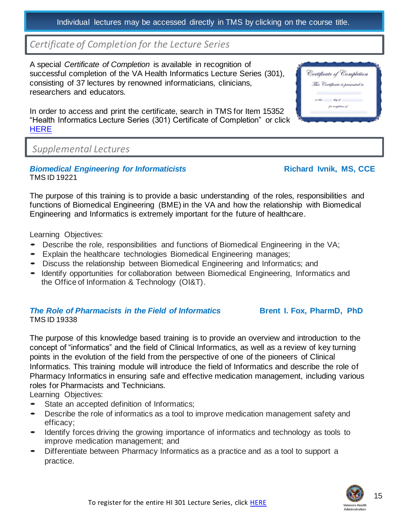Individual lectures may be accessed directly in TMS by clicking on the course title. The course title  $\alpha$ 

## *Certificate of Completion for the Lecture Series*

A special *Certificate of Completion* is available in recognition of successful completion of the VA Health Informatics Lecture Series (301), consisting of 37 lectures by renowned informaticians, clinicians, researchers and educators.

In order to access and print the certificate, search in TMS for Item 15352 "Health Informatics Lecture Series (301) Certificate of Completion" or click [HERE](https://hcm03.ns2cloud.com/sf/learning?destUrl=https%3a%2f%2fva%2dhcm03%2ens2cloud%2ecom%2flearning%2fuser%2fdeeplink%5fredirect%2ejsp%3flinkId%3dITEM%5fDETAILS%26componentID%3d15352%26componentTypeID%3dVA%26revisionDate%3d1349367000000%26fromSF%3dY&company=VAHCM03)

### *Supplemental Lectures*

#### *[Biomedical Engineering for Informaticists](https://hcm03.ns2cloud.com/sf/learning?destUrl=https%3a%2f%2fva%2dhcm03%2ens2cloud%2ecom%2flearning%2fuser%2fdeeplink%5fredirect%2ejsp%3flinkId%3dITEM%5fDETAILS%26componentID%3d19221%26componentTypeID%3dVA%26revisionDate%3d1380636120000%26fromSF%3dY&company=VAHCM03)* **Richard Ivnik, MS, CCE** TMS ID 19221

The purpose of this training is to provide a basic understanding of the roles, responsibilities and functions of Biomedical Engineering (BME) in the VA and how the relationship with Biomedical Engineering and Informatics is extremely important for the future of healthcare.

Learning Objectives:

- Describe the role, responsibilities and functions of Biomedical Engineering in the VA;
- Explain the healthcare technologies Biomedical Engineering manages;
- Discuss the relationship between Biomedical Engineering and Informatics; and
- Identify opportunities for collaboration between Biomedical Engineering, Informatics and the Office of Information & Technology (OI&T).

#### *[The Role of Pharmacists in the Field of Informatics](https://hcm03.ns2cloud.com/sf/learning?destUrl=https%3a%2f%2fva%2dhcm03%2ens2cloud%2ecom%2flearning%2fuser%2fdeeplink%5fredirect%2ejsp%3flinkId%3dITEM%5fDETAILS%26componentID%3d19338%26componentTypeID%3dVA%26revisionDate%3d1381853640000%26fromSF%3dY&company=VAHCM03)* **Brent I. Fox, PharmD, PhD** TMS ID 19338

The purpose of this knowledge based training is to provide an overview and introduction to the concept of "informatics" and the field of Clinical Informatics, as well as a review of key turning points in the evolution of the field from the perspective of one of the pioneers of Clinical Informatics. This training module will introduce the field of Informatics and describe the role of Pharmacy Informatics in ensuring safe and effective medication management, including various roles for Pharmacists and Technicians.

- State an accepted definition of Informatics;
- Describe the role of informatics as a tool to improve medication management safety and efficacy;
- Identify forces driving the growing importance of informatics and technology as tools to improve medication management; and
- Differentiate between Pharmacy Informatics as a practice and as a tool to support <sup>a</sup> practice.